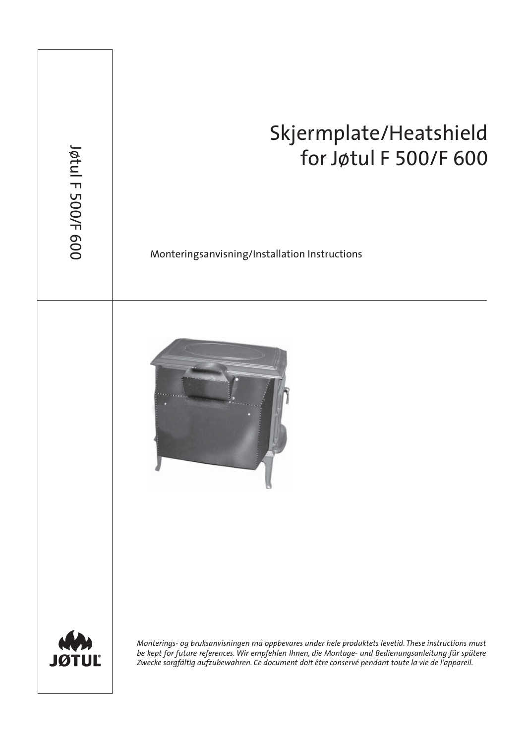## Skjermplate/Heatshield for Jøtul F 500/F 600 Monteringsanvisning/Installation Instructions Jøtul F 500/ F 600 *Monterings- og bruksanvisningen må oppbevares under hele produktets levetid. These instructions must be kept for future references. Wir empfehlen Ihnen, die Montage- und Bedienungsanleitung für spätere Zwecke sorgfältig aufzubewahren. Ce document doit être conservé pendant toute la vie de l'appareil.*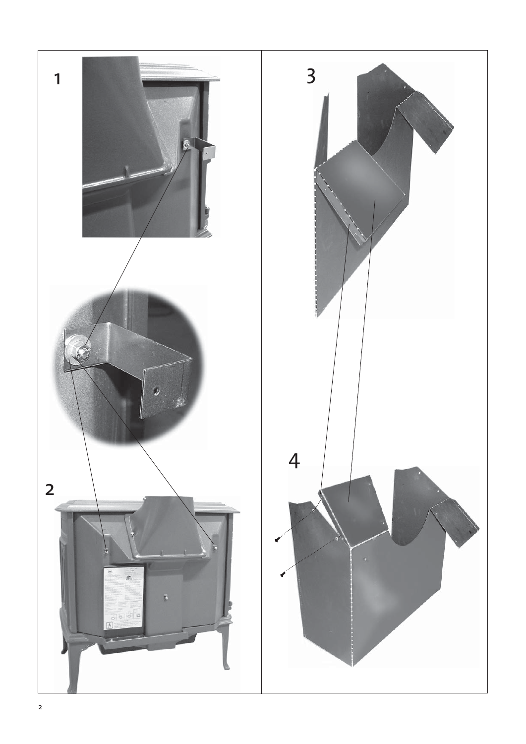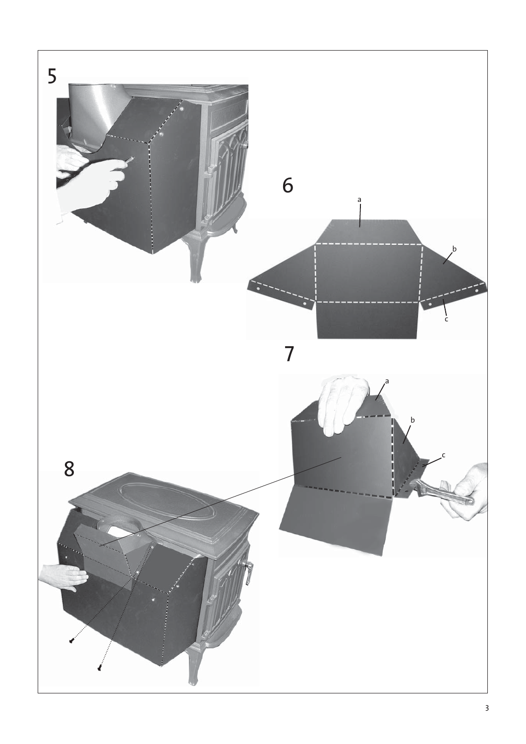